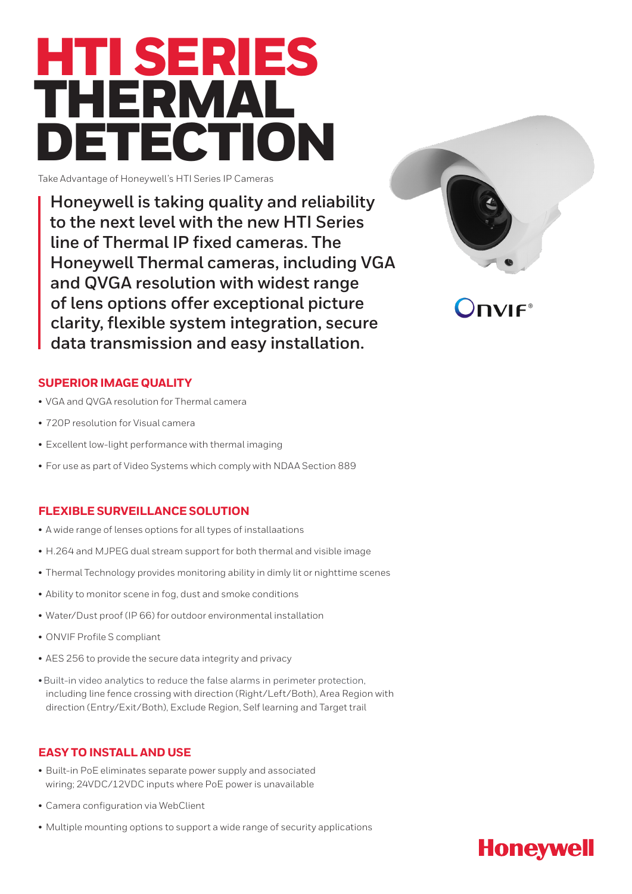

Take Advantage of Honeywell's HTI Series IP Cameras

**Honeywell is taking quality and reliability to the next level with the new HTI Series line of Thermal IP fixed cameras. The Honeywell Thermal cameras, including VGA and QVGA resolution with widest range of lens options offer exceptional picture clarity, flexible system integration, secure data transmission and easy installation.**



 $\mathbf{D}$ 

## **SUPERIOR IMAGE QUALITY**

- VGA and QVGA resolution for Thermal camera
- 720P resolution for Visual camera
- Excellent low-light performance with thermal imaging
- For use as part of Video Systems which comply with NDAA Section 889

### **FLEXIBLE SURVEILLANCE SOLUTION**

- A wide range of lenses options for all types of installaations
- H.264 and MJPEG dual stream support for both thermal and visible image
- Thermal Technology provides monitoring ability in dimly lit or nighttime scenes
- Ability to monitor scene in fog, dust and smoke conditions
- Water/Dust proof (IP 66) for outdoor environmental installation
- ONVIF Profile S compliant
- AES 256 to provide the secure data integrity and privacy
- including line fence crossing with direction (Right/Left/Both), Area Region with direction (Entry/Exit/Both), Exclude Region, Self learning and Target trail • Built-in video analytics to reduce the false alarms in perimeter protection,

## **EASY TO INSTALL AND USE**

- Built-in PoE eliminates separate power supply and associated wiring; 24VDC/12VDC inputs where PoE power is unavailable
- Camera configuration via WebClient
- Multiple mounting options to support a wide range of security applications

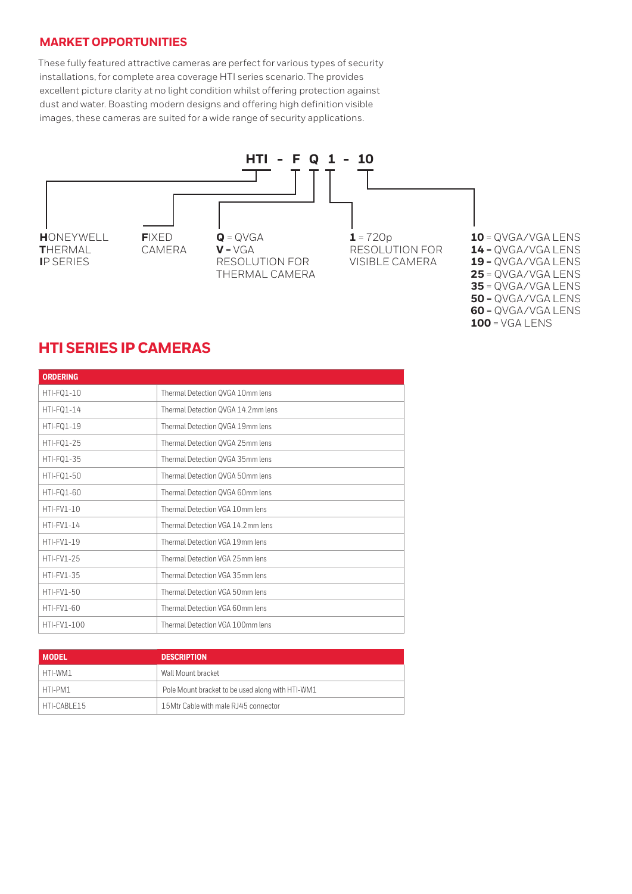### **MARKET OPPORTUNITIES**

These fully featured attractive cameras are perfect for various types of security installations, for complete area coverage HTI series scenario. The provides excellent picture clarity at no light condition whilst offering protection against dust and water. Boasting modern designs and offering high definition visible images, these cameras are suited for a wide range of security applications.



= QVGA/VGA LENS = QVGA/VGA LENS = QVGA/VGA LENS = QVGA/VGA LENS = QVGA/VGA LENS = QVGA/VGA LENS = QVGA/VGA LENS = VGA LENS

# **HTI SERIES IP CAMERAS**

| <b>ORDERING</b>   |                                    |
|-------------------|------------------------------------|
| HTI-FQ1-10        | Thermal Detection QVGA 10mm lens   |
| HTI-FQ1-14        | Thermal Detection QVGA 14.2mm lens |
| HTI-FQ1-19        | Thermal Detection QVGA 19mm lens   |
| HTI-FQ1-25        | Thermal Detection QVGA 25mm lens   |
| HTI-FQ1-35        | Thermal Detection QVGA 35mm lens   |
| HTI-FQ1-50        | Thermal Detection QVGA 50mm lens   |
| HTI-FQ1-60        | Thermal Detection QVGA 60mm lens   |
| $HTI-FV1-10$      | Thermal Detection VGA 10mm lens    |
| $HTI-FV1-14$      | Thermal Detection VGA 14.2mm lens  |
| $HTI-FV1-19$      | Thermal Detection VGA 19mm lens    |
| $HTI-FV1-25$      | Thermal Detection VGA 25mm lens    |
| HTI-FV1-35        | Thermal Detection VGA 35mm lens    |
| $HTI-FV1-50$      | Thermal Detection VGA 50mm lens    |
| <b>HTI-FV1-60</b> | Thermal Detection VGA 60mm lens    |
| HTI-FV1-100       | Thermal Detection VGA 100mm lens   |

| <b>MODEL</b> | <b>DESCRIPTION</b>                               |
|--------------|--------------------------------------------------|
| HTI-WM1      | Wall Mount bracket                               |
| HTI-PM1      | Pole Mount bracket to be used along with HTI-WM1 |
| HTI-CABLE15  | 15Mtr Cable with male RJ45 connector             |